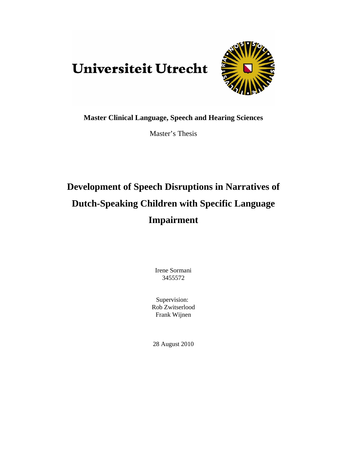# Universiteit Utrecht



**Master Clinical Language, Speech and Hearing Sciences** 

Master's Thesis

# **Development of Speech Disruptions in Narratives of Dutch-Speaking Children with Specific Language Impairment**

Irene Sormani 3455572

Supervision: Rob Zwitserlood Frank Wijnen

28 August 2010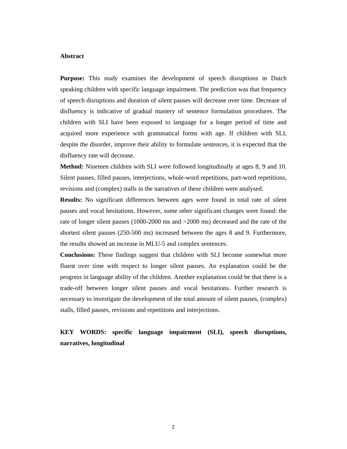## **Abstract**

**Purpose:** This study examines the development of speech disruptions in Dutch speaking children with specific language impairment. The prediction was that frequency of speech disruptions and duration of silent pauses will decrease over time. Decrease of disfluency is indicative of gradual mastery of sentence formulation procedures. The children with SLI have been exposed to language for a longer period of time and acquired more experience with grammatical forms with age. If children with SLI, despite the disorder, improve their ability to formulate sentences, it is expected that the disfluency rate will decrease.

**Method:** Nineteen children with SLI were followed longitudinally at ages 8, 9 and 10. Silent pauses, filled pauses, interjections, whole-word repetitions, part-word repetitions, revisions and (complex) stalls in the narratives of these children were analysed.

**Results:** No significant differences between ages were found in total rate of silent pauses and vocal hesitations. However, some other significant changes were found: the rate of longer silent pauses (1000-2000 ms and >2000 ms) decreased and the rate of the shortest silent pauses (250-500 ms) increased between the ages 8 and 9. Furthermore, the results showed an increase in MLU-5 and complex sentences.

**Conclusions:** These findings suggest that children with SLI become somewhat more fluent over time with respect to longer silent pauses. An explanation could be the progress in language ability of the children. Another explanation could be that there is a trade-off between longer silent pauses and vocal hesitations. Further research is necessary to investigate the development of the total amount of silent pauses, (complex) stalls, filled pauses, revisions and repetitions and interjections.

**KEY WORDS: specific language impairment (SLI), speech disruptions, narratives, longitudinal**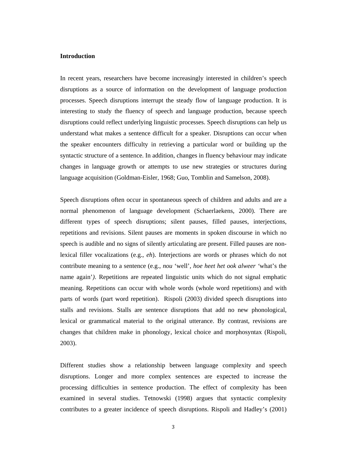# **Introduction**

In recent years, researchers have become increasingly interested in children's speech disruptions as a source of information on the development of language production processes. Speech disruptions interrupt the steady flow of language production. It is interesting to study the fluency of speech and language production, because speech disruptions could reflect underlying linguistic processes. Speech disruptions can help us understand what makes a sentence difficult for a speaker. Disruptions can occur when the speaker encounters difficulty in retrieving a particular word or building up the syntactic structure of a sentence. In addition, changes in fluency behaviour may indicate changes in language growth or attempts to use new strategies or structures during language acquisition (Goldman-Eisler, 1968; Guo, Tomblin and Samelson, 2008).

Speech disruptions often occur in spontaneous speech of children and adults and are a normal phenomenon of language development (Schaerlaekens, 2000). There are different types of speech disruptions; silent pauses, filled pauses, interjections, repetitions and revisions. Silent pauses are moments in spoken discourse in which no speech is audible and no signs of silently articulating are present. Filled pauses are nonlexical filler vocalizations (e.g., *eh*). Interjections are words or phrases which do not contribute meaning to a sentence (e.g., *nou* 'well'*, hoe heet het ook alweer '*what's the name again'*)*. Repetitions are repeated linguistic units which do not signal emphatic meaning. Repetitions can occur with whole words (whole word repetitions) and with parts of words (part word repetition). Rispoli (2003) divided speech disruptions into stalls and revisions. Stalls are sentence disruptions that add no new phonological, lexical or grammatical material to the original utterance. By contrast, revisions are changes that children make in phonology, lexical choice and morphosyntax (Rispoli, 2003).

Different studies show a relationship between language complexity and speech disruptions. Longer and more complex sentences are expected to increase the processing difficulties in sentence production. The effect of complexity has been examined in several studies. Tetnowski (1998) argues that syntactic complexity contributes to a greater incidence of speech disruptions. Rispoli and Hadley's (2001)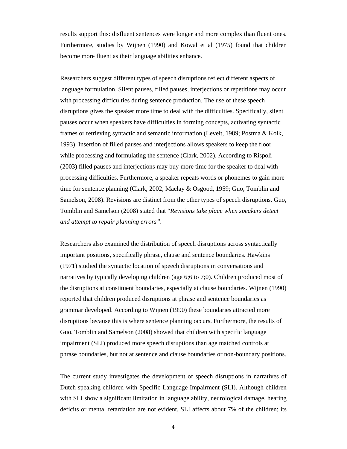results support this: disfluent sentences were longer and more complex than fluent ones. Furthermore, studies by Wijnen (1990) and Kowal et al (1975) found that children become more fluent as their language abilities enhance.

Researchers suggest different types of speech disruptions reflect different aspects of language formulation. Silent pauses, filled pauses, interjections or repetitions may occur with processing difficulties during sentence production. The use of these speech disruptions gives the speaker more time to deal with the difficulties. Specifically, silent pauses occur when speakers have difficulties in forming concepts, activating syntactic frames or retrieving syntactic and semantic information (Levelt, 1989; Postma & Kolk, 1993). Insertion of filled pauses and interjections allows speakers to keep the floor while processing and formulating the sentence (Clark, 2002). According to Rispoli (2003) filled pauses and interjections may buy more time for the speaker to deal with processing difficulties. Furthermore, a speaker repeats words or phonemes to gain more time for sentence planning (Clark, 2002; Maclay & Osgood, 1959; Guo, Tomblin and Samelson, 2008). Revisions are distinct from the other types of speech disruptions. Guo, Tomblin and Samelson (2008) stated that "*Revisions take place when speakers detect and attempt to repair planning errors".* 

Researchers also examined the distribution of speech disruptions across syntactically important positions, specifically phrase, clause and sentence boundaries. Hawkins (1971) studied the syntactic location of speech disruptions in conversations and narratives by typically developing children (age 6;6 to 7;0). Children produced most of the disruptions at constituent boundaries, especially at clause boundaries. Wijnen (1990) reported that children produced disruptions at phrase and sentence boundaries as grammar developed. According to Wijnen (1990) these boundaries attracted more disruptions because this is where sentence planning occurs. Furthermore, the results of Guo, Tomblin and Samelson (2008) showed that children with specific language impairment (SLI) produced more speech disruptions than age matched controls at phrase boundaries, but not at sentence and clause boundaries or non-boundary positions.

The current study investigates the development of speech disruptions in narratives of Dutch speaking children with Specific Language Impairment (SLI). Although children with SLI show a significant limitation in language ability, neurological damage, hearing deficits or mental retardation are not evident. SLI affects about 7% of the children; its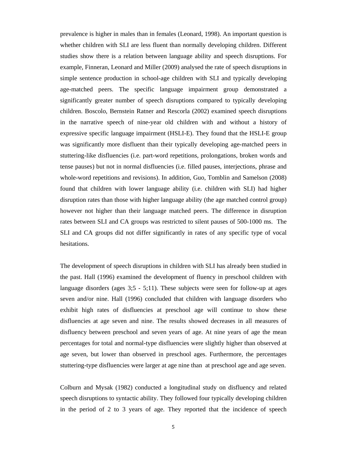prevalence is higher in males than in females (Leonard, 1998). An important question is whether children with SLI are less fluent than normally developing children. Different studies show there is a relation between language ability and speech disruptions. For example, Finneran, Leonard and Miller (2009) analysed the rate of speech disruptions in simple sentence production in school-age children with SLI and typically developing age-matched peers. The specific language impairment group demonstrated a significantly greater number of speech disruptions compared to typically developing children. Boscolo, Bernstein Ratner and Rescorla (2002) examined speech disruptions in the narrative speech of nine-year old children with and without a history of expressive specific language impairment (HSLI-E). They found that the HSLI-E group was significantly more disfluent than their typically developing age-matched peers in stuttering-like disfluencies (i.e. part-word repetitions, prolongations, broken words and tense pauses) but not in normal disfluencies (i.e. filled pauses, interjections, phrase and whole-word repetitions and revisions). In addition, Guo, Tomblin and Samelson (2008) found that children with lower language ability (i.e. children with SLI) had higher disruption rates than those with higher language ability (the age matched control group) however not higher than their language matched peers. The difference in disruption rates between SLI and CA groups was restricted to silent pauses of 500-1000 ms. The SLI and CA groups did not differ significantly in rates of any specific type of vocal hesitations.

The development of speech disruptions in children with SLI has already been studied in the past. Hall (1996) examined the development of fluency in preschool children with language disorders (ages 3;5 - 5;11). These subjects were seen for follow-up at ages seven and/or nine. Hall (1996) concluded that children with language disorders who exhibit high rates of disfluencies at preschool age will continue to show these disfluencies at age seven and nine. The results showed decreases in all measures of disfluency between preschool and seven years of age. At nine years of age the mean percentages for total and normal-type disfluencies were slightly higher than observed at age seven, but lower than observed in preschool ages. Furthermore, the percentages stuttering-type disfluencies were larger at age nine than at preschool age and age seven.

Colburn and Mysak (1982) conducted a longitudinal study on disfluency and related speech disruptions to syntactic ability. They followed four typically developing children in the period of 2 to 3 years of age. They reported that the incidence of speech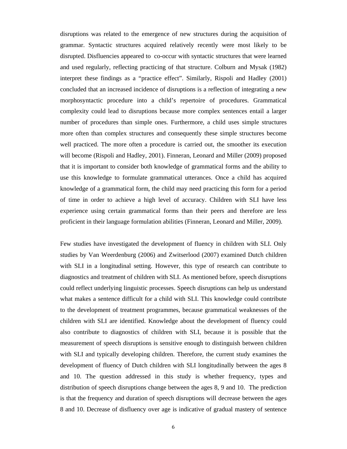disruptions was related to the emergence of new structures during the acquisition of grammar. Syntactic structures acquired relatively recently were most likely to be disrupted. Disfluencies appeared to co-occur with syntactic structures that were learned and used regularly, reflecting practicing of that structure. Colburn and Mysak (1982) interpret these findings as a "practice effect". Similarly, Rispoli and Hadley (2001) concluded that an increased incidence of disruptions is a reflection of integrating a new morphosyntactic procedure into a child's repertoire of procedures. Grammatical complexity could lead to disruptions because more complex sentences entail a larger number of procedures than simple ones. Furthermore, a child uses simple structures more often than complex structures and consequently these simple structures become well practiced. The more often a procedure is carried out, the smoother its execution will become (Rispoli and Hadley, 2001). Finneran, Leonard and Miller (2009) proposed that it is important to consider both knowledge of grammatical forms and the ability to use this knowledge to formulate grammatical utterances. Once a child has acquired knowledge of a grammatical form, the child may need practicing this form for a period of time in order to achieve a high level of accuracy. Children with SLI have less experience using certain grammatical forms than their peers and therefore are less proficient in their language formulation abilities (Finneran, Leonard and Miller, 2009).

Few studies have investigated the development of fluency in children with SLI. Only studies by Van Weerdenburg (2006) and Zwitserlood (2007) examined Dutch children with SLI in a longitudinal setting. However, this type of research can contribute to diagnostics and treatment of children with SLI. As mentioned before, speech disruptions could reflect underlying linguistic processes. Speech disruptions can help us understand what makes a sentence difficult for a child with SLI. This knowledge could contribute to the development of treatment programmes, because grammatical weaknesses of the children with SLI are identified. Knowledge about the development of fluency could also contribute to diagnostics of children with SLI, because it is possible that the measurement of speech disruptions is sensitive enough to distinguish between children with SLI and typically developing children. Therefore, the current study examines the development of fluency of Dutch children with SLI longitudinally between the ages 8 and 10. The question addressed in this study is whether frequency, types and distribution of speech disruptions change between the ages 8, 9 and 10. The prediction is that the frequency and duration of speech disruptions will decrease between the ages 8 and 10. Decrease of disfluency over age is indicative of gradual mastery of sentence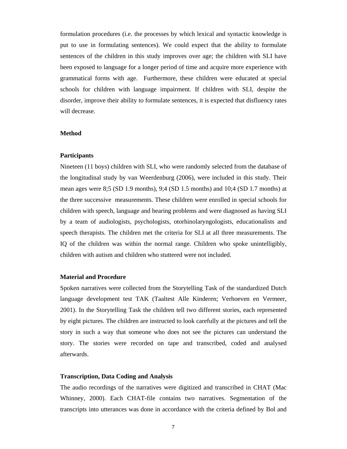formulation procedures (i.e. the processes by which lexical and syntactic knowledge is put to use in formulating sentences). We could expect that the ability to formulate sentences of the children in this study improves over age; the children with SLI have been exposed to language for a longer period of time and acquire more experience with grammatical forms with age. Furthermore, these children were educated at special schools for children with language impairment. If children with SLI, despite the disorder, improve their ability to formulate sentences, it is expected that disfluency rates will decrease.

#### **Method**

#### **Participants**

Nineteen (11 boys) children with SLI, who were randomly selected from the database of the longitudinal study by van Weerdenburg (2006), were included in this study. Their mean ages were 8;5 (SD 1.9 months), 9;4 (SD 1.5 months) and 10;4 (SD 1.7 months) at the three successive measurements. These children were enrolled in special schools for children with speech, language and hearing problems and were diagnosed as having SLI by a team of audiologists, psychologists, otorhinolaryngologists, educationalists and speech therapists. The children met the criteria for SLI at all three measurements. The IQ of the children was within the normal range. Children who spoke unintelligibly, children with autism and children who stuttered were not included.

#### **Material and Procedure**

Spoken narratives were collected from the Storytelling Task of the standardized Dutch language development test TAK (Taaltest Alle Kinderen; Verhoeven en Vermeer, 2001). In the Storytelling Task the children tell two different stories, each represented by eight pictures. The children are instructed to look carefully at the pictures and tell the story in such a way that someone who does not see the pictures can understand the story. The stories were recorded on tape and transcribed, coded and analysed afterwards.

#### **Transcription, Data Coding and Analysis**

The audio recordings of the narratives were digitized and transcribed in CHAT (Mac Whinney, 2000). Each CHAT-file contains two narratives. Segmentation of the transcripts into utterances was done in accordance with the criteria defined by Bol and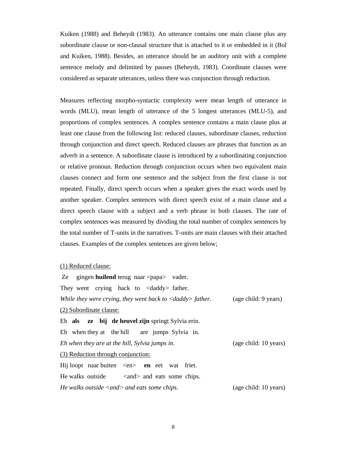Kuiken (1988) and Beheydt (1983). An utterance contains one main clause plus any subordinate clause or non-clausal structure that is attached to it or embedded in it (Bol and Kuiken, 1988). Besides, an utterance should be an auditory unit with a complete sentence melody and delimited by pauses (Beheydt, 1983). Coordinate clauses were considered as separate utterances, unless there was conjunction through reduction.

Measures reflecting morpho-syntactic complexity were mean length of utterance in words (MLU), mean length of utterance of the 5 longest utterances (MLU-5), and proportions of complex sentences. A complex sentence contains a main clause plus at least one clause from the following list: reduced clauses, subordinate clauses, reduction through conjunction and direct speech. Reduced clauses are phrases that function as an adverb in a sentence. A subordinate clause is introduced by a subordinating conjunction or relative pronoun. Reduction through conjunction occurs when two equivalent main clauses connect and form one sentence and the subject from the first clause is not repeated. Finally, direct speech occurs when a speaker gives the exact words used by another speaker. Complex sentences with direct speech exist of a main clause and a direct speech clause with a subject and a verb phrase in both clauses. The rate of complex sentences was measured by dividing the total number of complex sentences by the total number of T-units in the narratives. T-units are main clauses with their attached clauses. Examples of the complex sentences are given below;

## (1) Reduced clause:

Ze gingen **huilend** terug naar <papa> vader. They went crying back to <daddy> father. *While they were crying, they went back to <daddy> father.* (age child: 9 years) (2) Subordinate clause: Eh **als ze bij de heuvel zijn** springt Sylvia erin. Eh when they at the hill are jumps Sylvia in. *Eh when they are at the hill, Sylvia jumps in.* (age child: 10 years) (3) Reduction through conjunction: Hij loopt naar buiten <en> en eet wat friet. He walks outside  $\langle$  and  $\rangle$  and eats some chips. *He walks outside <and> and eats some chips.* (age child: 10 years)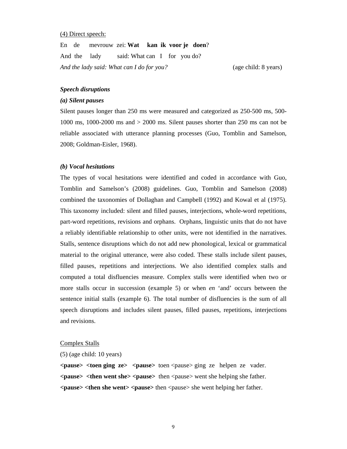#### (4) Direct speech:

En de mevrouw zei: **Wat kan ik voor je doen**? And the lady said: What can I for you do? *And the lady said: What can I do for you?* (age child: 8 years)

#### *Speech disruptions*

#### *(a) Silent pauses*

Silent pauses longer than 250 ms were measured and categorized as 250-500 ms, 500- 1000 ms, 1000-2000 ms and > 2000 ms. Silent pauses shorter than 250 ms can not be reliable associated with utterance planning processes (Guo, Tomblin and Samelson, 2008; Goldman-Eisler, 1968).

## *(b) Vocal hesitations*

The types of vocal hesitations were identified and coded in accordance with Guo, Tomblin and Samelson's (2008) guidelines. Guo, Tomblin and Samelson (2008) combined the taxonomies of Dollaghan and Campbell (1992) and Kowal et al (1975). This taxonomy included: silent and filled pauses, interjections, whole-word repetitions, part-word repetitions, revisions and orphans. Orphans, linguistic units that do not have a reliably identifiable relationship to other units, were not identified in the narratives. Stalls, sentence disruptions which do not add new phonological, lexical or grammatical material to the original utterance, were also coded. These stalls include silent pauses, filled pauses, repetitions and interjections. We also identified complex stalls and computed a total disfluencies measure. Complex stalls were identified when two or more stalls occur in succession (example 5) or when *en* 'and' occurs between the sentence initial stalls (example 6). The total number of disfluencies is the sum of all speech disruptions and includes silent pauses, filled pauses, repetitions, interjections and revisions.

#### Complex Stalls

#### (5) (age child: 10 years)

**<pause> <toen ging ze> <pause>** toen <pause> ging ze helpen ze vader. **<pause> <then went she> <pause>** then <pause> went she helping she father. **<pause> <then she went> <pause>** then <pause> she went helping her father.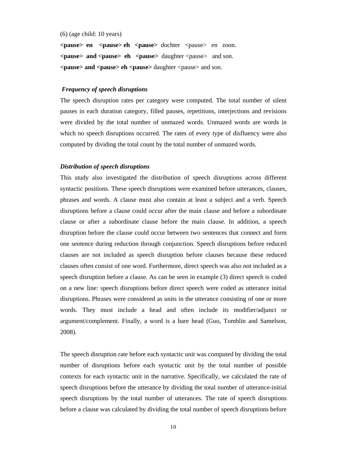#### (6) (age child: 10 years)

**<pause> en <pause> eh <pause>** dochter <pause> en zoon. **<pause> and <pause> eh <pause>** daughter <pause> and son. **<pause> and <pause> eh <pause>** daughter <pause> and son.

#### *Frequency of speech disruptions*

The speech disruption rates per category were computed. The total number of silent pauses in each duration category, filled pauses, repetitions, interjections and revisions were divided by the total number of unmazed words. Unmazed words are words in which no speech disruptions occurred. The rates of every type of disfluency were also computed by dividing the total count by the total number of unmazed words.

## *Distribution of speech disruptions*

This study also investigated the distribution of speech disruptions across different syntactic positions. These speech disruptions were examined before utterances, clauses, phrases and words. A clause must also contain at least a subject and a verb. Speech disruptions before a clause could occur after the main clause and before a subordinate clause or after a subordinate clause before the main clause. In addition, a speech disruption before the clause could occur between two sentences that connect and form one sentence during reduction through conjunction. Speech disruptions before reduced clauses are not included as speech disruption before clauses because these reduced clauses often consist of one word. Furthermore, direct speech was also not included as a speech disruption before a clause. As can be seen in example (3) direct speech is coded on a new line: speech disruptions before direct speech were coded as utterance initial disruptions. Phrases were considered as units in the utterance consisting of one or more words. They must include a head and often include its modifier/adjunct or argument/complement. Finally, a word is a bare head (Guo, Tomblin and Samelson, 2008).

The speech disruption rate before each syntactic unit was computed by dividing the total number of disruptions before each syntactic unit by the total number of possible contexts for each syntactic unit in the narrative. Specifically, we calculated the rate of speech disruptions before the utterance by dividing the total number of utterance-initial speech disruptions by the total number of utterances. The rate of speech disruptions before a clause was calculated by dividing the total number of speech disruptions before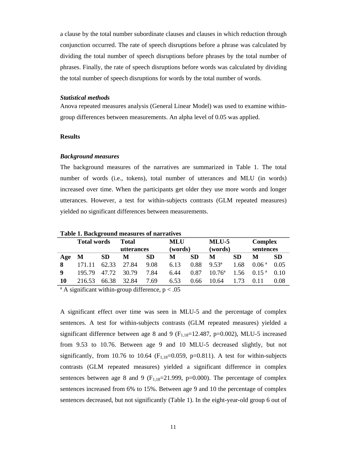a clause by the total number subordinate clauses and clauses in which reduction through conjunction occurred. The rate of speech disruptions before a phrase was calculated by dividing the total number of speech disruptions before phrases by the total number of phrases. Finally, the rate of speech disruptions before words was calculated by dividing the total number of speech disruptions for words by the total number of words.

#### *Statistical methods*

Anova repeated measures analysis (General Linear Model) was used to examine withingroup differences between measurements. An alpha level of 0.05 was applied.

## **Results**

#### *Background measures*

The background measures of the narratives are summarized in Table 1. The total number of words (i.e., tokens), total number of utterances and MLU (in words) increased over time. When the participants get older they use more words and longer utterances. However, a test for within-subjects contrasts (GLM repeated measures) yielded no significant differences between measurements.

|     | <b>Total words</b> |           | <b>Total</b><br>utterances |           | <b>MLU</b><br>(words) |      | $MLU-5$<br>(words) |           | <b>Complex</b><br>sentences |           |  |  |
|-----|--------------------|-----------|----------------------------|-----------|-----------------------|------|--------------------|-----------|-----------------------------|-----------|--|--|
| Age | M                  | <b>SD</b> | M                          | <b>SD</b> | M                     | SD   | М                  | <b>SD</b> | М                           | <b>SD</b> |  |  |
| 8   | 171.11             | 62.33     | 27.84                      | 9.08      | 6.13                  | 0.88 | $9.53^a$           | 1.68      | 0.06 <sup>a</sup>           | 0.05      |  |  |
| q   | 195.79             | 47.72     | 30.79                      | 7.84      | 6.44                  | 0.87 | $10.76^{\circ}$    | 1.56      | 0.15 <sup>a</sup>           | 0.10      |  |  |
| 10  | 216.53             | 66.38     | 32.84                      | 7.69      | 6.53                  | 0.66 | 10.64              | 1.73      |                             | 0.08      |  |  |

**Table 1. Background measures of narratives** 

<sup>a</sup> A significant within-group difference,  $p < .05$ 

A significant effect over time was seen in MLU-5 and the percentage of complex sentences. A test for within-subjects contrasts (GLM repeated measures) yielded a significant difference between age 8 and 9 ( $F_{1,18}=12.487$ , p=0.002), MLU-5 increased from 9.53 to 10.76. Between age 9 and 10 MLU-5 decreased slightly, but not significantly, from 10.76 to 10.64 ( $F<sub>118</sub>=0.059$ , p=0.811). A test for within-subjects contrasts (GLM repeated measures) yielded a significant difference in complex sentences between age 8 and 9 ( $F_{1,18}=21.999$ , p=0.000). The percentage of complex sentences increased from 6% to 15%. Between age 9 and 10 the percentage of complex sentences decreased, but not significantly (Table 1). In the eight-year-old group 6 out of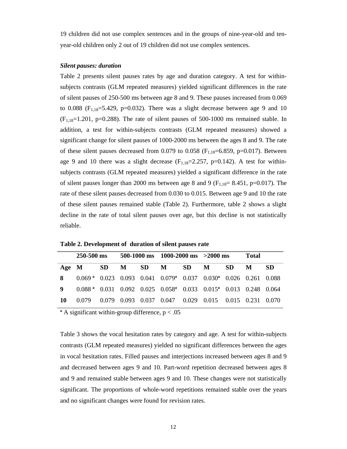19 children did not use complex sentences and in the groups of nine-year-old and tenyear-old children only 2 out of 19 children did not use complex sentences.

#### *Silent pauses: duration*

Table 2 presents silent pauses rates by age and duration category. A test for withinsubjects contrasts (GLM repeated measures) yielded significant differences in the rate of silent pauses of 250-500 ms between age 8 and 9. These pauses increased from 0.069 to 0.088 ( $F_{1,18}$ =5.429, p=0.032). There was a slight decrease between age 9 and 10  $(F<sub>1,18</sub>=1.201, p=0.288)$ . The rate of silent pauses of 500-1000 ms remained stable. In addition, a test for within-subjects contrasts (GLM repeated measures) showed a significant change for silent pauses of 1000-2000 ms between the ages 8 and 9. The rate of these silent pauses decreased from 0.079 to 0.058 ( $F_{1.18}$ =6.859, p=0.017). Between age 9 and 10 there was a slight decrease  $(F_{1,18}=2.257, p=0.142)$ . A test for withinsubjects contrasts (GLM repeated measures) yielded a significant difference in the rate of silent pauses longer than 2000 ms between age 8 and 9 ( $F_{1,18}$ = 8.451, p=0.017). The rate of these silent pauses decreased from 0.030 to 0.015. Between age 9 and 10 the rate of these silent pauses remained stable (Table 2). Furthermore, table 2 shows a slight decline in the rate of total silent pauses over age, but this decline is not statistically reliable.

|    | 250-500 ms                                                                                |  |  |  | 500-1000 ms 1000-2000 ms $>2000$ ms |  |  |     | Total          |     |
|----|-------------------------------------------------------------------------------------------|--|--|--|-------------------------------------|--|--|-----|----------------|-----|
|    | Age M                                                                                     |  |  |  | SD M SD M SD M                      |  |  | SD. | M <sub>1</sub> | -SD |
|    | 8 0.069 a 0.023 0.093 0.041 0.079 0.037 0.030 0.026 0.261 0.088                           |  |  |  |                                     |  |  |     |                |     |
| 9  | $0.088 a$ 0.031 0.092 0.025 0.058 <sup>a</sup> 0.033 0.015 <sup>a</sup> 0.013 0.248 0.064 |  |  |  |                                     |  |  |     |                |     |
| 10 | 0.079 0.079 0.093 0.037 0.047 0.029 0.015 0.015 0.231 0.070                               |  |  |  |                                     |  |  |     |                |     |

**Table 2. Development of duration of silent pauses rate** 

**ª** A significant within-group difference, p < .05

Table 3 shows the vocal hesitation rates by category and age. A test for within-subjects contrasts (GLM repeated measures) yielded no significant differences between the ages in vocal hesitation rates. Filled pauses and interjections increased between ages 8 and 9 and decreased between ages 9 and 10. Part-word repetition decreased between ages 8 and 9 and remained stable between ages 9 and 10. These changes were not statistically significant. The proportions of whole-word repetitions remained stable over the years and no significant changes were found for revision rates.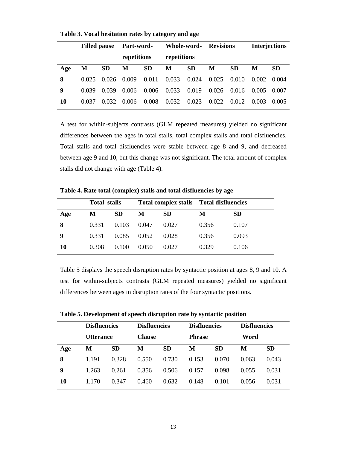|     | <b>Filled pause</b> |           | Part-word-  |           | Whole-word- |           | <b>Revisions</b> |           | <b>Interjections</b> |           |
|-----|---------------------|-----------|-------------|-----------|-------------|-----------|------------------|-----------|----------------------|-----------|
|     |                     |           | repetitions |           | repetitions |           |                  |           |                      |           |
| Age | M                   | <b>SD</b> | M           | <b>SD</b> | M           | <b>SD</b> | M                | <b>SD</b> | М                    | <b>SD</b> |
| 8   | 0.025               | 0.026     | 0.009       | 0.011     | 0.033       | 0.024     | 0.025            | 0.010     | 0.002                | 0.004     |
| 9   | 0.039               | 0.039     | 0.006       | 0.006     | 0.033       | 0.019     | 0.026            | 0.016     | 0.005                | 0.007     |
| 10  | 0.037               | 0.032     | 0.006       | 0.008     | 0.032       | 0.023     | 0.022            | 0.012     | 0.003                | 0.005     |

**Table 3. Vocal hesitation rates by category and age**

A test for within-subjects contrasts (GLM repeated measures) yielded no significant differences between the ages in total stalls, total complex stalls and total disfluencies. Total stalls and total disfluencies were stable between age 8 and 9, and decreased between age 9 and 10, but this change was not significant. The total amount of complex stalls did not change with age (Table 4).

|     | <b>Total stalls</b> |           |       | Total complex stalls Total disfluencies |       |       |
|-----|---------------------|-----------|-------|-----------------------------------------|-------|-------|
| Age | M                   | <b>SD</b> | M     | <b>SD</b>                               | M     | SD    |
| 8   | 0.331               | 0.103     | 0.047 | 0.027                                   | 0.356 | 0.107 |
| 9   | 0.331               | 0.085     | 0.052 | 0.028                                   | 0.356 | 0.093 |
| 10  | 0.308               | 0.100     | 0.050 | 0.027                                   | 0.329 | 0.106 |

**Table 4. Rate total (complex) stalls and total disfluencies by age** 

Table 5 displays the speech disruption rates by syntactic position at ages 8, 9 and 10. A test for within-subjects contrasts (GLM repeated measures) yielded no significant differences between ages in disruption rates of the four syntactic positions.

|     | <b>Disfluencies</b><br><b>Utterance</b> |           | <b>Disfluencies</b><br><b>Clause</b> |           | <b>Disfluencies</b> |           | <b>Disfluencies</b> |           |
|-----|-----------------------------------------|-----------|--------------------------------------|-----------|---------------------|-----------|---------------------|-----------|
|     |                                         |           |                                      |           | <b>Phrase</b>       |           | Word                |           |
| Age | M                                       | <b>SD</b> | М                                    | <b>SD</b> | M                   | <b>SD</b> | M                   | <b>SD</b> |
| 8   | 1.191                                   | 0.328     | 0.550                                | 0.730     | 0.153               | 0.070     | 0.063               | 0.043     |
| 9   | 1.263                                   | 0.261     | 0.356                                | 0.506     | 0.157               | 0.098     | 0.055               | 0.031     |
| 10  | 1.170                                   | 0.347     | 0.460                                | 0.632     | 0.148               | 0.101     | 0.056               | 0.031     |

**Table 5. Development of speech disruption rate by syntactic position**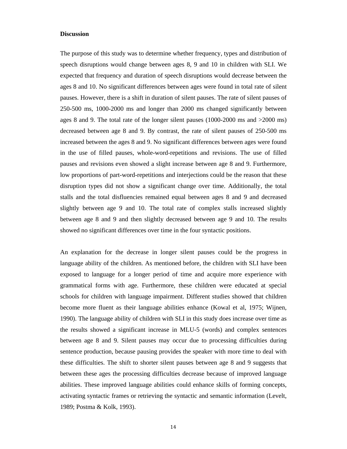# **Discussion**

The purpose of this study was to determine whether frequency, types and distribution of speech disruptions would change between ages 8, 9 and 10 in children with SLI. We expected that frequency and duration of speech disruptions would decrease between the ages 8 and 10. No significant differences between ages were found in total rate of silent pauses. However, there is a shift in duration of silent pauses. The rate of silent pauses of 250-500 ms, 1000-2000 ms and longer than 2000 ms changed significantly between ages 8 and 9. The total rate of the longer silent pauses (1000-2000 ms and >2000 ms) decreased between age 8 and 9. By contrast, the rate of silent pauses of 250-500 ms increased between the ages 8 and 9. No significant differences between ages were found in the use of filled pauses, whole-word-repetitions and revisions. The use of filled pauses and revisions even showed a slight increase between age 8 and 9. Furthermore, low proportions of part-word-repetitions and interjections could be the reason that these disruption types did not show a significant change over time. Additionally, the total stalls and the total disfluencies remained equal between ages 8 and 9 and decreased slightly between age 9 and 10. The total rate of complex stalls increased slightly between age 8 and 9 and then slightly decreased between age 9 and 10. The results showed no significant differences over time in the four syntactic positions.

An explanation for the decrease in longer silent pauses could be the progress in language ability of the children. As mentioned before, the children with SLI have been exposed to language for a longer period of time and acquire more experience with grammatical forms with age. Furthermore, these children were educated at special schools for children with language impairment. Different studies showed that children become more fluent as their language abilities enhance (Kowal et al, 1975; Wijnen, 1990). The language ability of children with SLI in this study does increase over time as the results showed a significant increase in MLU-5 (words) and complex sentences between age 8 and 9. Silent pauses may occur due to processing difficulties during sentence production, because pausing provides the speaker with more time to deal with these difficulties. The shift to shorter silent pauses between age 8 and 9 suggests that between these ages the processing difficulties decrease because of improved language abilities. These improved language abilities could enhance skills of forming concepts, activating syntactic frames or retrieving the syntactic and semantic information (Levelt, 1989; Postma & Kolk, 1993).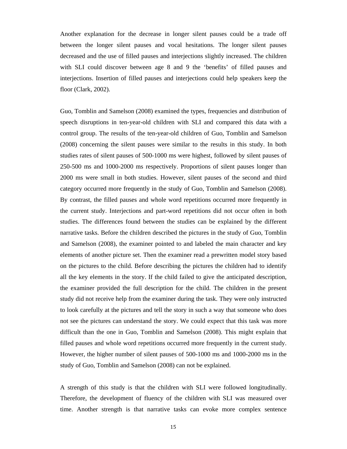Another explanation for the decrease in longer silent pauses could be a trade off between the longer silent pauses and vocal hesitations. The longer silent pauses decreased and the use of filled pauses and interjections slightly increased. The children with SLI could discover between age 8 and 9 the 'benefits' of filled pauses and interjections. Insertion of filled pauses and interjections could help speakers keep the floor (Clark, 2002).

Guo, Tomblin and Samelson (2008) examined the types, frequencies and distribution of speech disruptions in ten-year-old children with SLI and compared this data with a control group. The results of the ten-year-old children of Guo, Tomblin and Samelson (2008) concerning the silent pauses were similar to the results in this study. In both studies rates of silent pauses of 500-1000 ms were highest, followed by silent pauses of 250-500 ms and 1000-2000 ms respectively. Proportions of silent pauses longer than 2000 ms were small in both studies. However, silent pauses of the second and third category occurred more frequently in the study of Guo, Tomblin and Samelson (2008). By contrast, the filled pauses and whole word repetitions occurred more frequently in the current study. Interjections and part-word repetitions did not occur often in both studies. The differences found between the studies can be explained by the different narrative tasks. Before the children described the pictures in the study of Guo, Tomblin and Samelson (2008), the examiner pointed to and labeled the main character and key elements of another picture set. Then the examiner read a prewritten model story based on the pictures to the child. Before describing the pictures the children had to identify all the key elements in the story. If the child failed to give the anticipated description, the examiner provided the full description for the child. The children in the present study did not receive help from the examiner during the task. They were only instructed to look carefully at the pictures and tell the story in such a way that someone who does not see the pictures can understand the story. We could expect that this task was more difficult than the one in Guo, Tomblin and Samelson (2008). This might explain that filled pauses and whole word repetitions occurred more frequently in the current study. However, the higher number of silent pauses of 500-1000 ms and 1000-2000 ms in the study of Guo, Tomblin and Samelson (2008) can not be explained.

A strength of this study is that the children with SLI were followed longitudinally. Therefore, the development of fluency of the children with SLI was measured over time. Another strength is that narrative tasks can evoke more complex sentence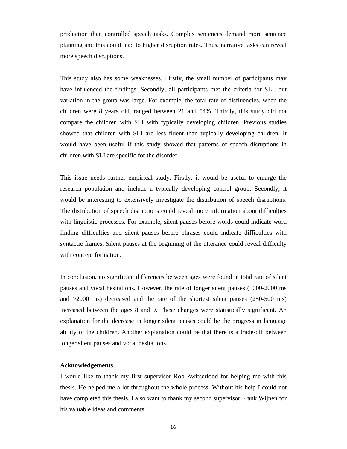production than controlled speech tasks. Complex sentences demand more sentence planning and this could lead to higher disruption rates. Thus, narrative tasks can reveal more speech disruptions.

This study also has some weaknesses. Firstly, the small number of participants may have influenced the findings. Secondly, all participants met the criteria for SLI, but variation in the group was large. For example, the total rate of disfluencies, when the children were 8 years old, ranged between 21 and 54%. Thirdly, this study did not compare the children with SLI with typically developing children. Previous studies showed that children with SLI are less fluent than typically developing children. It would have been useful if this study showed that patterns of speech disruptions in children with SLI are specific for the disorder.

This issue needs further empirical study. Firstly, it would be useful to enlarge the research population and include a typically developing control group. Secondly, it would be interesting to extensively investigate the distribution of speech disruptions. The distribution of speech disruptions could reveal more information about difficulties with linguistic processes. For example, silent pauses before words could indicate word finding difficulties and silent pauses before phrases could indicate difficulties with syntactic frames. Silent pauses at the beginning of the utterance could reveal difficulty with concept formation.

In conclusion, no significant differences between ages were found in total rate of silent pauses and vocal hesitations. However, the rate of longer silent pauses (1000-2000 ms and >2000 ms) decreased and the rate of the shortest silent pauses (250-500 ms) increased between the ages 8 and 9. These changes were statistically significant. An explanation for the decrease in longer silent pauses could be the progress in language ability of the children. Another explanation could be that there is a trade-off between longer silent pauses and vocal hesitations.

# **Acknowledgements**

I would like to thank my first supervisor Rob Zwitserlood for helping me with this thesis. He helped me a lot throughout the whole process. Without his help I could not have completed this thesis. I also want to thank my second supervisor Frank Wijnen for his valuable ideas and comments.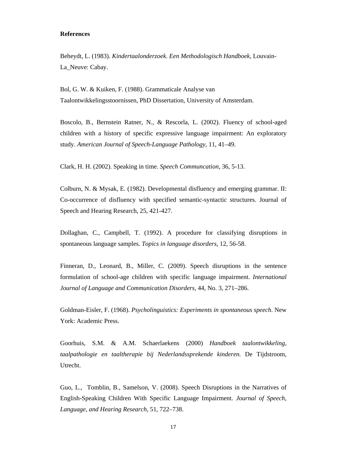# **References**

Beheydt, L. (1983). *Kindertaalonderzoek. Een Methodologisch Handboek,* Louvain-La Neuve: Cabay.

Bol, G. W. & Kuiken, F. (1988). Grammaticale Analyse van Taalontwikkelingsstoornissen, PhD Dissertation, University of Amsterdam.

Boscolo, B., Bernstein Ratner, N., & Rescorla, L. (2002). Fluency of school-aged children with a history of specific expressive language impairment: An exploratory study. *American Journal of Speech-Language Pathology*, 11, 41–49.

Clark, H. H. (2002). Speaking in time. *Speech Communcation*, 36, 5-13.

Colburn, N. & Mysak, E. (1982). Developmental disfluency and emerging grammar. II: Co-occurrence of disfluency with specified semantic-syntactic structures. Journal of Speech and Hearing Research, 25, 421-427.

Dollaghan, C., Campbell, T. (1992). A procedure for classifying disruptions in spontaneous language samples. *Topics in language disorders*, 12, 56-58.

Finneran, D., Leonard, B., Miller, C. (2009). Speech disruptions in the sentence formulation of school-age children with specific language impairment. *International Journal of Language and Communication Disorders*, 44, No. 3, 271–286.

Goldman-Eisler, F. (1968). *Psycholinguistics: Experiments in spontaneous speech*. New York: Academic Press.

Goorhuis, S.M. & A.M. Schaerlaekens (2000) *Handboek taalontwikkeling, taalpathologie en taaltherapie bij Nederlandssprekende kinderen.* De Tijdstroom, Utrecht.

Guo, L., Tomblin, B., Samelson, V. (2008). Speech Disruptions in the Narratives of English-Speaking Children With Specific Language Impairment. *Journal of Speech, Language, and Hearing Research*, 51, 722–738.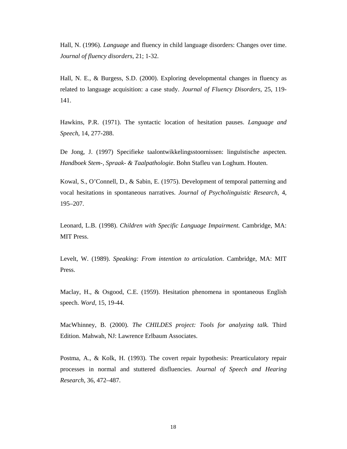Hall, N. (1996). *Language* and fluency in child language disorders: Changes over time. *Journal of fluency disorders,* 21; 1-32.

Hall, N. E., & Burgess, S.D. (2000). Exploring developmental changes in fluency as related to language acquisition: a case study. *Journal of Fluency Disorders*, 25, 119- 141.

Hawkins, P.R. (1971). The syntactic location of hesitation pauses. *Language and Speech*, 14, 277-288.

De Jong, J. (1997) Specifieke taalontwikkelingsstoornissen: linguïstische aspecten. *Handboek Stem-, Spraak- & Taalpathologie*. Bohn Stafleu van Loghum. Houten.

Kowal, S., O'Connell, D., & Sabin, E. (1975). Development of temporal patterning and vocal hesitations in spontaneous narratives. *Journal of Psycholinguistic Research*, 4, 195–207.

Leonard, L.B. (1998). *Children with Specific Language Impairment.* Cambridge, MA: MIT Press.

Levelt, W. (1989). *Speaking: From intention to articulation*. Cambridge, MA: MIT Press.

Maclay, H., & Osgood, C.E. (1959). Hesitation phenomena in spontaneous English speech. *Word*, 15, 19-44.

MacWhinney, B. (2000). *The CHILDES project: Tools for analyzing talk*. Third Edition. Mahwah, NJ: Lawrence Erlbaum Associates.

Postma, A., & Kolk, H. (1993). The covert repair hypothesis: Prearticulatory repair processes in normal and stuttered disfluencies. *Journal of Speech and Hearing Research*, 36, 472–487.